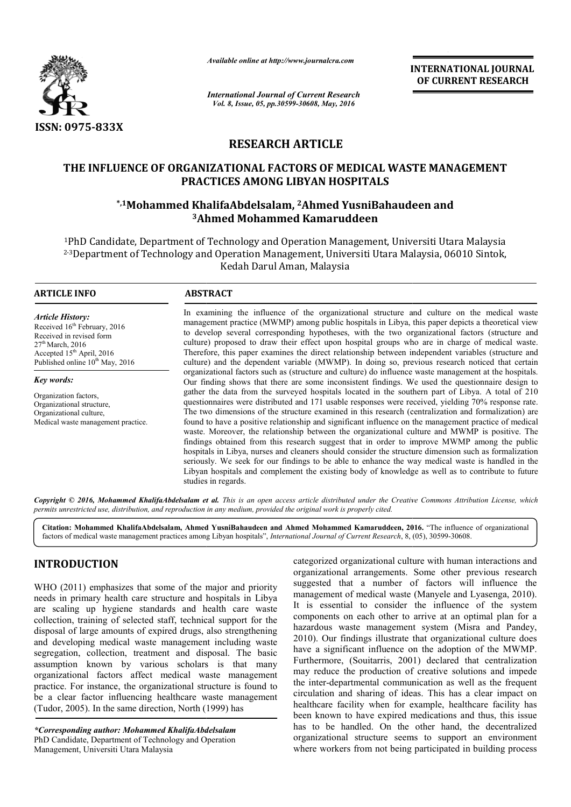

*Available online at http://www.journalcra.com*

*International Journal of Current Research Vol. 8, Issue, 05, pp.30599-30608, May, 2016*

**INTERNATIONAL JOURNAL OF CURRENT RESEARCH** 

# **RESEARCH ARTICLE**

# **THE INFLUENCE OF ORGANIZATIONAL FACTORS OF MEDICAL WASTE MANAGEMENT PRACTICES AMONG LIBYAN HOSPITALS**

# **\*,1Mohammed KhalifaAbdelsalam, Mohammed 2Ahmed YusniBahaudeen and Ahmed YusniBahaudeen 3Ahmed Mohammed Kamaruddeen Ahmed**

1PhD Candidate, Department of Technology and Operation Management, Universiti Utara Malaysia Candidate, Department of 2-3Department of Technology and Operation Management, Universiti Utara Malaysia, 06010 Sintok, PhD Candidate, Department of Technology and Operation Man<br>2Department of Technology and Operation Management, Unive<br>Kedah Darul Aman, Malaysia

 $\overline{a}$ 

# **ARTICLE INFO ABSTRACT**

*Article History:* Received 16<sup>th</sup> February, 2016 Received in revised form 27<sup>th</sup> March, 2016  $\frac{27 \text{ minutes}}{15^{\text{th}}}$  April, 2016 Published online  $10^{th}$  May, 2016

*Key words:*

Organization factors, Organizational structure, Organizational culture, Medical waste management practice.

In examining the influence of the organizational structure and culture on the medical waste management practice (MWMP) among public hospitals in Libya, this paper depicts a theoretical view In examining the influence of the organizational structure and culture on the medical waste management practice (MWMP) among public hospitals in Libya, this paper depicts a theoretical view to develop several corresponding culture) proposed to draw their effect upon hospital groups who are in charge of medical waste. Therefore, this paper examines the direct relationship between independent variables (structure and culture) and the dependent variable (MWMP). In doing so, previous research noticed that certain organizational factors such as (structure and culture) do influence waste management at the hospitals. Our finding shows that there are some inconsistent findings. We used the questionnaire de gather the data from the surveyed hospitals located in the southern part of Libya. A total of 210 questionnaires were distributed and 171 usable responses were received, yielding 70% response rate. The two dimensions of the structure examined in this research (centralization and formalization) are found to have a positive relationship and significant influence on the management practice of medical waste. Moreover, the relationship between the organizational culture and MWMP is positive. The findings obtained from this research suggest that in order to improve MWMP among the public hospitals in Libya, nurses and cleaners should consider the structure dimension such as formalization seriously. We seek for our findings to be able to enhance the way medical waste is handled in the Libyan hospitals and complement the existing body of knowledge as well as to contribute to future studies in regards. culture) proposed to draw their effect upon hospital groups who are in charge of medical waste.<br>Therefore, this paper examines the direct relationship between independent variables (structure and<br>culture) and the dependent The two dimensions of the structure examined in this research (centralization and formalization) are found to have a positive relationship and significant influence on the management practice of medical waste. Moreover, th

*Copyright © 2016, Mohammed KhalifaAbdelsalam et al. This is an open access article distributed under the Creative Commons Att Attribution License, which permits unrestricted use, distribution, and reproduction in any medium, provided the original work is properly cited.*

**Citation: Mohammed KhalifaAbdelsalam, Ahmed YusniBahaudeen and Ahmed Mohammed Kamaruddeen, 2016.** "The influence of organizational factors of medical waste management practices among Libyan hospitals", *International Journal of Current Research*, 8, (05), 30599-30608.

# **INTRODUCTION**

WHO (2011) emphasizes that some of the major and priority needs in primary health care structure and hospitals in Libya are scaling up hygiene standards and health care waste collection, training of selected staff, technical support for the disposal of large amounts of expired drugs, also strengthening and developing medical waste management including waste segregation, collection, treatment and disposal. The basic assumption known by various scholars is that many organizational factors affect medical waste management practice. For instance, the organizational structure is found to be a clear factor influencing healthcare waste management (Tudor, 2005). In the same direction, North (1999) has

*\*Corresponding author: Mohammed KhalifaAbdelsalam* PhD Candidate, Department of Technology and Operation Management, Universiti Utara Malaysia

categorized organizational culture with human interactions and organizational arrangements. Some other previous research suggested that a number of factors will influence the management of medical waste (Manyele and Lyasenga, 2010). It is essential to consider the influence of the system components on each other to arrive at an optimal plan for a hazardous waste management system (Misra and Pandey, 2010). Our findings illustrate that organizational culture does 2010). Our findings illustrate that organizational culture does have a significant influence on the adoption of the MWMP. Furthermore, (Souitarris, 2001) declared that centralization may reduce the production of creative solutions and impede the inter-departmental communication as well as the frequent circulation and sharing of ideas. This has a clear impact on healthcare facility when for example, healthcare facility has been known to have expired medications and thus, this issue has to be handled. On the other hand, the decentralized organizational structure seems to support an environment where workers from not being participated in building process organizational culture with human interactions and<br>nal arrangements. Some other previous research<br>that a number of factors will influence the<br>to of medical waste (Manyele and Lyasenga, 2010).<br>titial to consider the influen **INTERNATIONAL JOURNAL TROM COURNAL CONDUCT (THE COMMUNICATE CONDUCT) (THE CONDUCT) (THE CONDUCT) (THE CONDUCT) (THE CONDUCT) (THE CONDUCT) (THE CONDUCT) (THE CONDUCT) (THE CONDUCT) (THE CONDUCT) (THE CONDUCT) (THE CONDUC**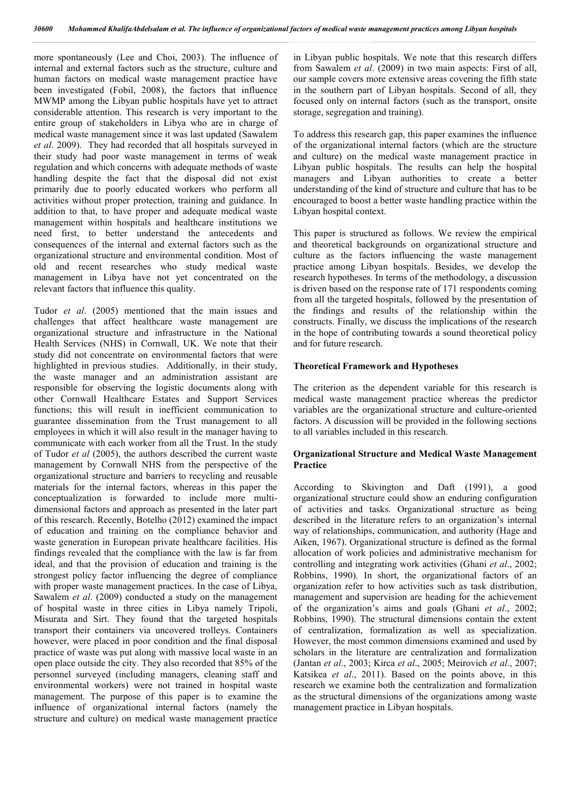more spontaneously (Lee and Choi, 2003). The influence of internal and external factors such as the structure, culture and human factors on medical waste management practice have been investigated (Fobil, 2008), the factors that influence MWMP among the Libyan public hospitals have yet to attract considerable attention. This research is very important to the entire group of stakeholders in Libya who are in charge of medical waste management since it was last updated (Sawalem *et al*. 2009). They had recorded that all hospitals surveyed in their study had poor waste management in terms of weak regulation and which concerns with adequate methods of waste handling despite the fact that the disposal did not exist primarily due to poorly educated workers who perform all activities without proper protection, training and guidance. In addition to that, to have proper and adequate medical waste management within hospitals and healthcare institutions we need first, to better understand the antecedents and consequences of the internal and external factors such as the organizational structure and environmental condition. Most of old and recent researches who study medical waste management in Libya have not yet concentrated on the relevant factors that influence this quality.

Tudor *et al*. (2005) mentioned that the main issues and challenges that affect healthcare waste management are organizational structure and infrastructure in the National Health Services (NHS) in Cornwall, UK. We note that their study did not concentrate on environmental factors that were highlighted in previous studies. Additionally, in their study, the waste manager and an administration assistant are responsible for observing the logistic documents along with other Cornwall Healthcare Estates and Support Services functions; this will result in inefficient communication to guarantee dissemination from the Trust management to all employees in which it will also result in the manager having to communicate with each worker from all the Trust. In the study of Tudor *et al* (2005), the authors described the current waste management by Cornwall NHS from the perspective of the organizational structure and barriers to recycling and reusable materials for the internal factors, whereas in this paper the conceptualization is forwarded to include more multidimensional factors and approach as presented in the later part of this research. Recently, Botelho (2012) examined the impact of education and training on the compliance behavior and waste generation in European private healthcare facilities. His findings revealed that the compliance with the law is far from ideal, and that the provision of education and training is the strongest policy factor influencing the degree of compliance with proper waste management practices. In the case of Libya, Sawalem *et al*. (2009) conducted a study on the management of hospital waste in three cities in Libya namely Tripoli, Misurata and Sirt. They found that the targeted hospitals transport their containers via uncovered trolleys. Containers however, were placed in poor condition and the final disposal practice of waste was put along with massive local waste in an open place outside the city. They also recorded that 85% of the personnel surveyed (including managers, cleaning staff and environmental workers) were not trained in hospital waste management. The purpose of this paper is to examine the influence of organizational internal factors (namely the structure and culture) on medical waste management practice

in Libyan public hospitals. We note that this research differs from Sawalem *et al*. (2009) in two main aspects: First of all, our sample covers more extensive areas covering the fifth state in the southern part of Libyan hospitals. Second of all, they focused only on internal factors (such as the transport, onsite storage, segregation and training).

To address this research gap, this paper examines the influence of the organizational internal factors (which are the structure and culture) on the medical waste management practice in Libyan public hospitals. The results can help the hospital managers and Libyan authorities to create a better understanding of the kind of structure and culture that has to be encouraged to boost a better waste handling practice within the Libyan hospital context.

This paper is structured as follows. We review the empirical and theoretical backgrounds on organizational structure and culture as the factors influencing the waste management practice among Libyan hospitals. Besides, we develop the research hypotheses. In terms of the methodology, a discussion is driven based on the response rate of 171 respondents coming from all the targeted hospitals, followed by the presentation of the findings and results of the relationship within the constructs. Finally, we discuss the implications of the research in the hope of contributing towards a sound theoretical policy and for future research.

# **Theoretical Framework and Hypotheses**

The criterion as the dependent variable for this research is medical waste management practice whereas the predictor variables are the organizational structure and culture-oriented factors. A discussion will be provided in the following sections to all variables included in this research.

## **Organizational Structure and Medical Waste Management Practice**

According to Skivington and Daft (1991), a good organizational structure could show an enduring configuration of activities and tasks. Organizational structure as being described in the literature refers to an organization's internal way of relationships, communication, and authority (Hage and Aiken, 1967). Organizational structure is defined as the formal allocation of work policies and administrative mechanism for controlling and integrating work activities (Ghani *et al*., 2002; Robbins, 1990). In short, the organizational factors of an organization refer to how activities such as task distribution, management and supervision are heading for the achievement of the organization's aims and goals (Ghani *et al*., 2002; Robbins, 1990). The structural dimensions contain the extent of centralization, formalization as well as specialization. However, the most common dimensions examined and used by scholars in the literature are centralization and formalization (Jantan *et al*., 2003; Kirca *et al*., 2005; Meirovich *et al*., 2007; Katsikea *et al*., 2011). Based on the points above, in this research we examine both the centralization and formalization as the structural dimensions of the organizations among waste management practice in Libyan hospitals.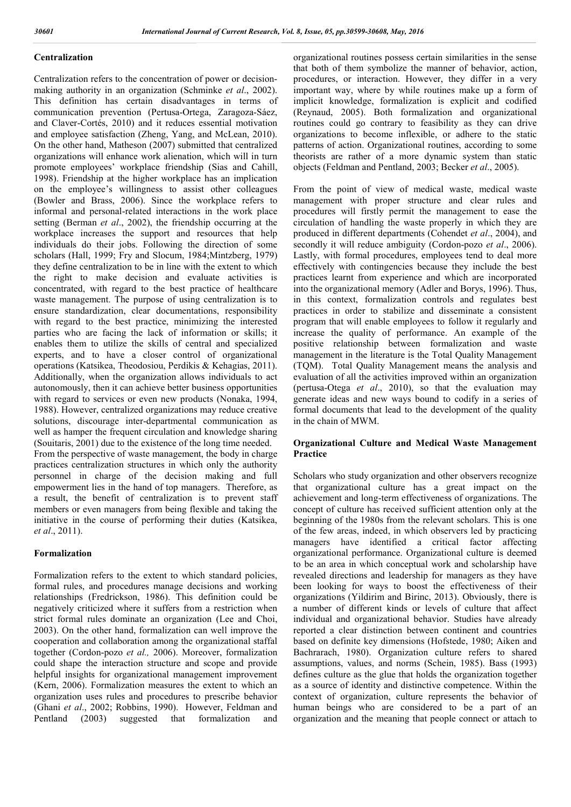# **Centralization**

Centralization refers to the concentration of power or decisionmaking authority in an organization (Schminke *et al*., 2002). This definition has certain disadvantages in terms of communication prevention (Pertusa-Ortega, Zaragoza-Sáez, and Claver-Cortés, 2010) and it reduces essential motivation and employee satisfaction (Zheng, Yang, and McLean, 2010). On the other hand, Matheson (2007) submitted that centralized organizations will enhance work alienation, which will in turn promote employees' workplace friendship (Sias and Cahill, 1998). Friendship at the higher workplace has an implication on the employee's willingness to assist other colleagues (Bowler and Brass, 2006). Since the workplace refers to informal and personal-related interactions in the work place setting (Berman *et al*., 2002), the friendship occurring at the workplace increases the support and resources that help individuals do their jobs. Following the direction of some scholars (Hall, 1999; Fry and Slocum, 1984;Mintzberg, 1979) they define centralization to be in line with the extent to which the right to make decision and evaluate activities is concentrated, with regard to the best practice of healthcare waste management. The purpose of using centralization is to ensure standardization, clear documentations, responsibility with regard to the best practice, minimizing the interested parties who are facing the lack of information or skills; it enables them to utilize the skills of central and specialized experts, and to have a closer control of organizational operations (Katsikea, Theodosiou, Perdikis & Kehagias, 2011). Additionally, when the organization allows individuals to act autonomously, then it can achieve better business opportunities with regard to services or even new products (Nonaka, 1994, 1988). However, centralized organizations may reduce creative solutions, discourage inter-departmental communication as well as hamper the frequent circulation and knowledge sharing (Souitaris, 2001) due to the existence of the long time needed. From the perspective of waste management, the body in charge practices centralization structures in which only the authority personnel in charge of the decision making and full empowerment lies in the hand of top managers. Therefore, as a result, the benefit of centralization is to prevent staff members or even managers from being flexible and taking the initiative in the course of performing their duties (Katsikea, *et al*., 2011).

# **Formalization**

Formalization refers to the extent to which standard policies, formal rules, and procedures manage decisions and working relationships (Fredrickson, 1986). This definition could be negatively criticized where it suffers from a restriction when strict formal rules dominate an organization (Lee and Choi, 2003). On the other hand, formalization can well improve the cooperation and collaboration among the organizational staffal together (Cordon-pozo *et al.,* 2006). Moreover, formalization could shape the interaction structure and scope and provide helpful insights for organizational management improvement (Kern, 2006). Formalization measures the extent to which an organization uses rules and procedures to prescribe behavior (Ghani *et al*., 2002; Robbins, 1990). However, Feldman and Pentland (2003) suggested that formalization and organizational routines possess certain similarities in the sense that both of them symbolize the manner of behavior, action, procedures, or interaction. However, they differ in a very important way, where by while routines make up a form of implicit knowledge, formalization is explicit and codified (Reynaud, 2005). Both formalization and organizational routines could go contrary to feasibility as they can drive organizations to become inflexible, or adhere to the static patterns of action. Organizational routines, according to some theorists are rather of a more dynamic system than static objects (Feldman and Pentland, 2003; Becker *et al*., 2005).

From the point of view of medical waste, medical waste management with proper structure and clear rules and procedures will firstly permit the management to ease the circulation of handling the waste properly in which they are produced in different departments (Cohendet *et al*., 2004), and secondly it will reduce ambiguity (Cordon-pozo *et al*., 2006). Lastly, with formal procedures, employees tend to deal more effectively with contingencies because they include the best practices learnt from experience and which are incorporated into the organizational memory (Adler and Borys, 1996). Thus, in this context, formalization controls and regulates best practices in order to stabilize and disseminate a consistent program that will enable employees to follow it regularly and increase the quality of performance. An example of the positive relationship between formalization and waste management in the literature is the Total Quality Management (TQM). Total Quality Management means the analysis and evaluation of all the activities improved within an organization (pertusa-Otega *et al*., 2010), so that the evaluation may generate ideas and new ways bound to codify in a series of formal documents that lead to the development of the quality in the chain of MWM.

# **Organizational Culture and Medical Waste Management Practice**

Scholars who study organization and other observers recognize that organizational culture has a great impact on the achievement and long-term effectiveness of organizations. The concept of culture has received sufficient attention only at the beginning of the 1980s from the relevant scholars. This is one of the few areas, indeed, in which observers led by practicing managers have identified a critical factor affecting organizational performance. Organizational culture is deemed to be an area in which conceptual work and scholarship have revealed directions and leadership for managers as they have been looking for ways to boost the effectiveness of their organizations (Yildirim and Birinc, 2013). Obviously, there is a number of different kinds or levels of culture that affect individual and organizational behavior. Studies have already reported a clear distinction between continent and countries based on definite key dimensions (Hofstede, 1980; Aiken and Bachrarach, 1980). Organization culture refers to shared assumptions, values, and norms (Schein, 1985). Bass (1993) defines culture as the glue that holds the organization together as a source of identity and distinctive competence. Within the context of organization, culture represents the behavior of human beings who are considered to be a part of an organization and the meaning that people connect or attach to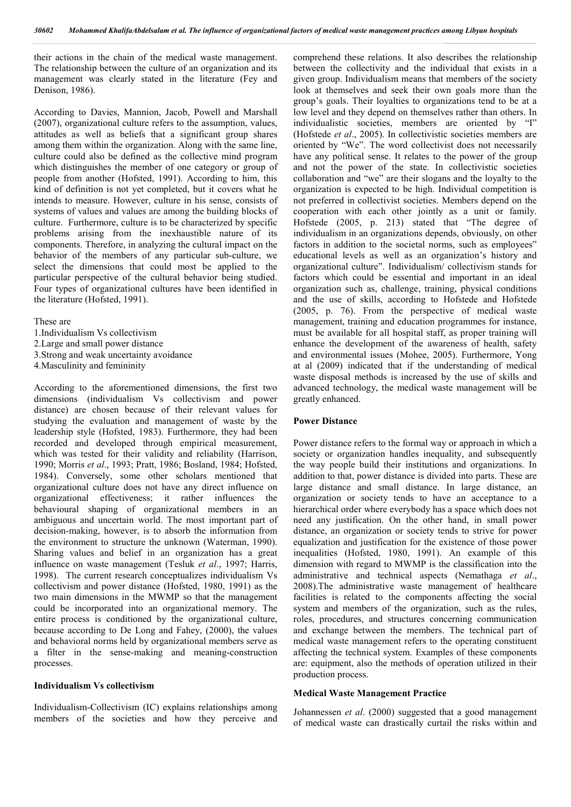their actions in the chain of the medical waste management. The relationship between the culture of an organization and its management was clearly stated in the literature (Fey and Denison, 1986).

According to Davies, Mannion, Jacob, Powell and Marshall (2007), organizational culture refers to the assumption, values, attitudes as well as beliefs that a significant group shares among them within the organization. Along with the same line, culture could also be defined as the collective mind program which distinguishes the member of one category or group of people from another (Hofsted, 1991). According to him, this kind of definition is not yet completed, but it covers what he intends to measure. However, culture in his sense, consists of systems of values and values are among the building blocks of culture. Furthermore, culture is to be characterized by specific problems arising from the inexhaustible nature of its components. Therefore, in analyzing the cultural impact on the behavior of the members of any particular sub-culture, we select the dimensions that could most be applied to the particular perspective of the cultural behavior being studied. Four types of organizational cultures have been identified in the literature (Hofsted, 1991).

These are

- 1.Individualism Vs collectivism
- 2.Large and small power distance
- 3.Strong and weak uncertainty avoidance
- 4.Masculinity and femininity

According to the aforementioned dimensions, the first two dimensions (individualism Vs collectivism and power distance) are chosen because of their relevant values for studying the evaluation and management of waste by the leadership style (Hofsted, 1983). Furthermore, they had been recorded and developed through empirical measurement, which was tested for their validity and reliability (Harrison, 1990; Morris *et al*., 1993; Pratt, 1986; Bosland, 1984; Hofsted, 1984). Conversely, some other scholars mentioned that organizational culture does not have any direct influence on organizational effectiveness; it rather influences the behavioural shaping of organizational members in an ambiguous and uncertain world. The most important part of decision-making, however, is to absorb the information from the environment to structure the unknown (Waterman, 1990). Sharing values and belief in an organization has a great influence on waste management (Tesluk *et al*., 1997; Harris, 1998). The current research conceptualizes individualism Vs collectivism and power distance (Hofsted, 1980, 1991) as the two main dimensions in the MWMP so that the management could be incorporated into an organizational memory. The entire process is conditioned by the organizational culture, because according to De Long and Fahey, (2000), the values and behavioral norms held by organizational members serve as a filter in the sense-making and meaning-construction processes.

## **Individualism Vs collectivism**

Individualism-Collectivism (IC) explains relationships among members of the societies and how they perceive and comprehend these relations. It also describes the relationship between the collectivity and the individual that exists in a given group. Individualism means that members of the society look at themselves and seek their own goals more than the group's goals. Their loyalties to organizations tend to be at a low level and they depend on themselves rather than others. In individualistic societies, members are oriented by "I" (Hofstede *et al*., 2005). In collectivistic societies members are oriented by "We". The word collectivist does not necessarily have any political sense. It relates to the power of the group and not the power of the state. In collectivistic societies collaboration and "we" are their slogans and the loyalty to the organization is expected to be high. Individual competition is not preferred in collectivist societies. Members depend on the cooperation with each other jointly as a unit or family. Hofstede (2005, p. 213) stated that "The degree of individualism in an organizations depends, obviously, on other factors in addition to the societal norms, such as employees" educational levels as well as an organization's history and organizational culture". Individualism/ collectivism stands for factors which could be essential and important in an ideal organization such as, challenge, training, physical conditions and the use of skills, according to Hofstede and Hofstede (2005, p. 76). From the perspective of medical waste management, training and education programmes for instance, must be available for all hospital staff, as proper training will enhance the development of the awareness of health, safety and environmental issues (Mohee, 2005). Furthermore, Yong at al (2009) indicated that if the understanding of medical waste disposal methods is increased by the use of skills and advanced technology, the medical waste management will be greatly enhanced.

#### **Power Distance**

Power distance refers to the formal way or approach in which a society or organization handles inequality, and subsequently the way people build their institutions and organizations. In addition to that, power distance is divided into parts. These are large distance and small distance. In large distance, an organization or society tends to have an acceptance to a hierarchical order where everybody has a space which does not need any justification. On the other hand, in small power distance, an organization or society tends to strive for power equalization and justification for the existence of those power inequalities (Hofsted, 1980, 1991). An example of this dimension with regard to MWMP is the classification into the administrative and technical aspects (Nemathaga *et al*., 2008).The administrative waste management of healthcare facilities is related to the components affecting the social system and members of the organization, such as the rules, roles, procedures, and structures concerning communication and exchange between the members. The technical part of medical waste management refers to the operating constituent affecting the technical system. Examples of these components are: equipment, also the methods of operation utilized in their production process.

## **Medical Waste Management Practice**

Johannessen *et al*. (2000) suggested that a good management of medical waste can drastically curtail the risks within and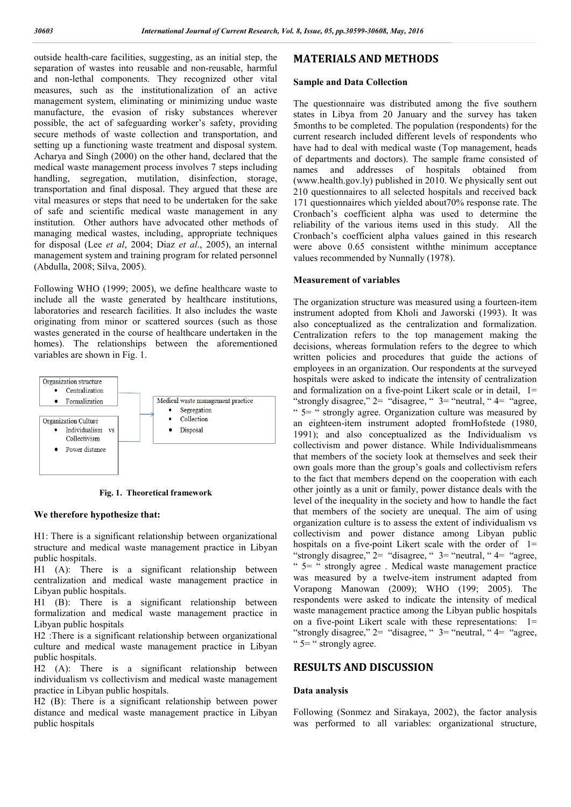outside health-care facilities, suggesting, as an initial step, the separation of wastes into reusable and non-reusable, harmful and non-lethal components. They recognized other vital measures, such as the institutionalization of an active management system, eliminating or minimizing undue waste manufacture, the evasion of risky substances wherever possible, the act of safeguarding worker's safety, providing secure methods of waste collection and transportation, and setting up a functioning waste treatment and disposal system. Acharya and Singh (2000) on the other hand, declared that the medical waste management process involves 7 steps including handling, segregation, mutilation, disinfection, storage, transportation and final disposal. They argued that these are vital measures or steps that need to be undertaken for the sake of safe and scientific medical waste management in any institution. Other authors have advocated other methods of managing medical wastes, including, appropriate techniques for disposal (Lee *et al*, 2004; Diaz *et al*., 2005), an internal management system and training program for related personnel (Abdulla, 2008; Silva, 2005).

Following WHO (1999; 2005), we define healthcare waste to include all the waste generated by healthcare institutions, laboratories and research facilities. It also includes the waste originating from minor or scattered sources (such as those wastes generated in the course of healthcare undertaken in the homes). The relationships between the aforementioned variables are shown in Fig. 1.



**Fig. 1. Theoretical framework**

#### **We therefore hypothesize that:**

H1: There is a significant relationship between organizational structure and medical waste management practice in Libyan public hospitals.

H1 (A): There is a significant relationship between centralization and medical waste management practice in Libyan public hospitals.

H1 (B): There is a significant relationship between formalization and medical waste management practice in Libyan public hospitals

H2 :There is a significant relationship between organizational culture and medical waste management practice in Libyan public hospitals.

H2 (A): There is a significant relationship between individualism vs collectivism and medical waste management practice in Libyan public hospitals.

H2 (B): There is a significant relationship between power distance and medical waste management practice in Libyan public hospitals

# **MATERIALS AND METHODS**

#### **Sample and Data Collection**

The questionnaire was distributed among the five southern states in Libya from 20 January and the survey has taken 5months to be completed. The population (respondents) for the current research included different levels of respondents who have had to deal with medical waste (Top management, heads of departments and doctors). The sample frame consisted of names and addresses of hospitals obtained from (www.health.gov.ly) published in 2010. We physically sent out 210 questionnaires to all selected hospitals and received back 171 questionnaires which yielded about70% response rate. The Cronbach's coefficient alpha was used to determine the reliability of the various items used in this study. All the Cronbach's coefficient alpha values gained in this research were above 0.65 consistent withthe minimum acceptance values recommended by Nunnally (1978).

# **Measurement of variables**

The organization structure was measured using a fourteen-item instrument adopted from Kholi and Jaworski (1993). It was also conceptualized as the centralization and formalization. Centralization refers to the top management making the decisions, whereas formulation refers to the degree to which written policies and procedures that guide the actions of employees in an organization. Our respondents at the surveyed hospitals were asked to indicate the intensity of centralization and formalization on a five-point Likert scale or in detail, 1= "strongly disagree,"  $2=$  "disagree, "  $3=$  "neutral, "  $4=$  "agree, " 5= " strongly agree. Organization culture was measured by an eighteen-item instrument adopted fromHofstede (1980, 1991); and also conceptualized as the Individualism vs collectivism and power distance. While Individualismmeans that members of the society look at themselves and seek their own goals more than the group's goals and collectivism refers to the fact that members depend on the cooperation with each other jointly as a unit or family, power distance deals with the level of the inequality in the society and how to handle the fact that members of the society are unequal. The aim of using organization culture is to assess the extent of individualism vs collectivism and power distance among Libyan public hospitals on a five-point Likert scale with the order of  $1=$ "strongly disagree,"  $2=$  "disagree, "  $3=$  "neutral, "  $4=$  "agree, " 5= " strongly agree . Medical waste management practice was measured by a twelve-item instrument adapted from Vorapong Manowan (2009); WHO (199; 2005). The respondents were asked to indicate the intensity of medical waste management practice among the Libyan public hospitals on a five-point Likert scale with these representations: 1= "strongly disagree,"  $2=$  "disagree, "  $3=$  "neutral, " $4=$  "agree, "  $5 =$  " strongly agree.

# **RESULTS AND DISCUSSION**

#### **Data analysis**

Following (Sonmez and Sirakaya, 2002), the factor analysis was performed to all variables: organizational structure,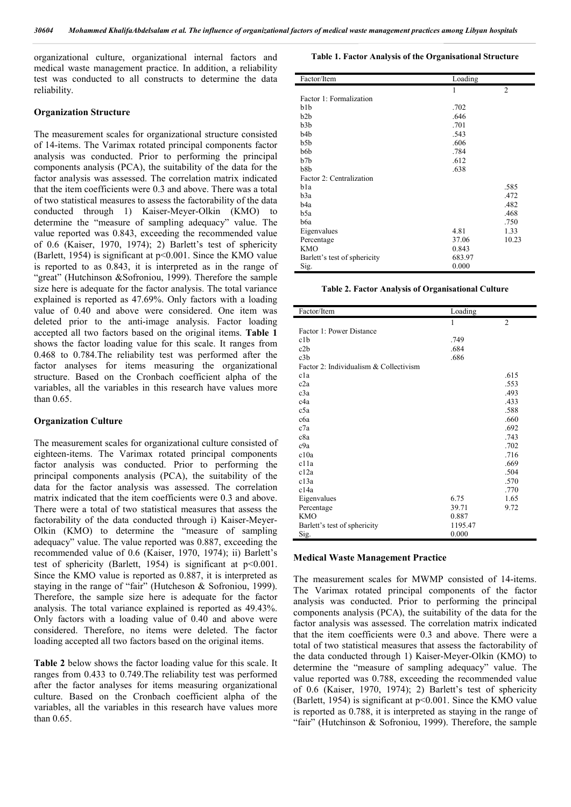organizational culture, organizational internal factors and medical waste management practice. In addition, a reliability test was conducted to all constructs to determine the data reliability.

#### **Organization Structure**

The measurement scales for organizational structure consisted of 14-items. The Varimax rotated principal components factor analysis was conducted. Prior to performing the principal components analysis (PCA), the suitability of the data for the factor analysis was assessed. The correlation matrix indicated that the item coefficients were 0.3 and above. There was a total of two statistical measures to assess the factorability of the data conducted through 1) Kaiser-Meyer-Olkin (KMO) to determine the "measure of sampling adequacy" value. The value reported was 0.843, exceeding the recommended value of 0.6 (Kaiser, 1970, 1974); 2) Barlett's test of sphericity (Barlett, 1954) is significant at p<0.001. Since the KMO value is reported to as 0.843, it is interpreted as in the range of "great" (Hutchinson &Sofroniou, 1999). Therefore the sample size here is adequate for the factor analysis. The total variance explained is reported as 47.69%. Only factors with a loading value of 0.40 and above were considered. One item was deleted prior to the anti-image analysis. Factor loading accepted all two factors based on the original items. **Table 1** shows the factor loading value for this scale. It ranges from 0.468 to 0.784.The reliability test was performed after the factor analyses for items measuring the organizational structure. Based on the Cronbach coefficient alpha of the variables, all the variables in this research have values more than 0.65.

#### **Organization Culture**

The measurement scales for organizational culture consisted of eighteen-items. The Varimax rotated principal components factor analysis was conducted. Prior to performing the principal components analysis (PCA), the suitability of the data for the factor analysis was assessed. The correlation matrix indicated that the item coefficients were 0.3 and above. There were a total of two statistical measures that assess the factorability of the data conducted through i) Kaiser-Meyer-Olkin (KMO) to determine the "measure of sampling adequacy" value. The value reported was 0.887, exceeding the recommended value of 0.6 (Kaiser, 1970, 1974); ii) Barlett's test of sphericity (Barlett, 1954) is significant at  $p \le 0.001$ . Since the KMO value is reported as 0.887, it is interpreted as staying in the range of "fair" (Hutcheson & Sofroniou, 1999). Therefore, the sample size here is adequate for the factor analysis. The total variance explained is reported as 49.43%. Only factors with a loading value of 0.40 and above were considered. Therefore, no items were deleted. The factor loading accepted all two factors based on the original items.

**Table 2** below shows the factor loading value for this scale. It ranges from 0.433 to 0.749.The reliability test was performed after the factor analyses for items measuring organizational culture. Based on the Cronbach coefficient alpha of the variables, all the variables in this research have values more than 0.65.

**Table 1. Factor Analysis of the Organisational Structure**

| Factor/Item                  | Loading |                |  |
|------------------------------|---------|----------------|--|
|                              | 1       | $\overline{2}$ |  |
| Factor 1: Formalization      |         |                |  |
| b1b                          | .702    |                |  |
| b2b                          | .646    |                |  |
| b3b                          | .701    |                |  |
| b4b                          | .543    |                |  |
| b5b                          | .606    |                |  |
| b6b                          | .784    |                |  |
| b7b                          | .612    |                |  |
| b8b                          | .638    |                |  |
| Factor 2: Centralization     |         |                |  |
| bla                          |         | .585           |  |
| b3a                          |         | .472           |  |
| b4a                          |         | .482           |  |
| b5a                          |         | .468           |  |
| b6a                          |         | .750           |  |
| Eigenvalues                  | 4.81    | 1.33           |  |
| Percentage                   | 37.06   | 10.23          |  |
| <b>KMO</b>                   | 0.843   |                |  |
| Barlett's test of sphericity | 683.97  |                |  |
| Sig.                         | 0.000   |                |  |

**Table 2. Factor Analysis of Organisational Culture**

| Factor/Item                            | Loading |                |  |
|----------------------------------------|---------|----------------|--|
|                                        | 1       | $\overline{2}$ |  |
| Factor 1: Power Distance               |         |                |  |
| c1b                                    | .749    |                |  |
| c2b                                    | .684    |                |  |
| c3b                                    | .686    |                |  |
| Factor 2: Individualism & Collectivism |         |                |  |
| cla                                    |         | .615           |  |
| c <sub>2</sub> a                       |         | .553           |  |
| c3a                                    |         | .493           |  |
| c <sub>4</sub> a                       |         | .433           |  |
| c5a                                    |         | .588           |  |
| c6a                                    |         | .660           |  |
| c7a                                    |         | .692           |  |
| c8a                                    |         | .743           |  |
| c9a                                    |         | .702           |  |
| c10a                                   |         | .716           |  |
| c11a                                   |         | .669           |  |
| c12a                                   |         | .504           |  |
| c13a                                   |         | .570           |  |
| c14a                                   |         | .770           |  |
| Eigenvalues                            | 6.75    | 1.65           |  |
| Percentage                             | 39.71   | 9.72           |  |
| <b>KMO</b>                             | 0.887   |                |  |
| Barlett's test of sphericity           | 1195.47 |                |  |
| Sig.                                   | 0.000   |                |  |

#### **Medical Waste Management Practice**

The measurement scales for MWMP consisted of 14-items. The Varimax rotated principal components of the factor analysis was conducted. Prior to performing the principal components analysis (PCA), the suitability of the data for the factor analysis was assessed. The correlation matrix indicated that the item coefficients were 0.3 and above. There were a total of two statistical measures that assess the factorability of the data conducted through 1) Kaiser-Meyer-Olkin (KMO) to determine the "measure of sampling adequacy" value. The value reported was 0.788, exceeding the recommended value of 0.6 (Kaiser, 1970, 1974); 2) Barlett's test of sphericity (Barlett, 1954) is significant at p<0.001. Since the KMO value is reported as 0.788, it is interpreted as staying in the range of "fair" (Hutchinson & Sofroniou, 1999). Therefore, the sample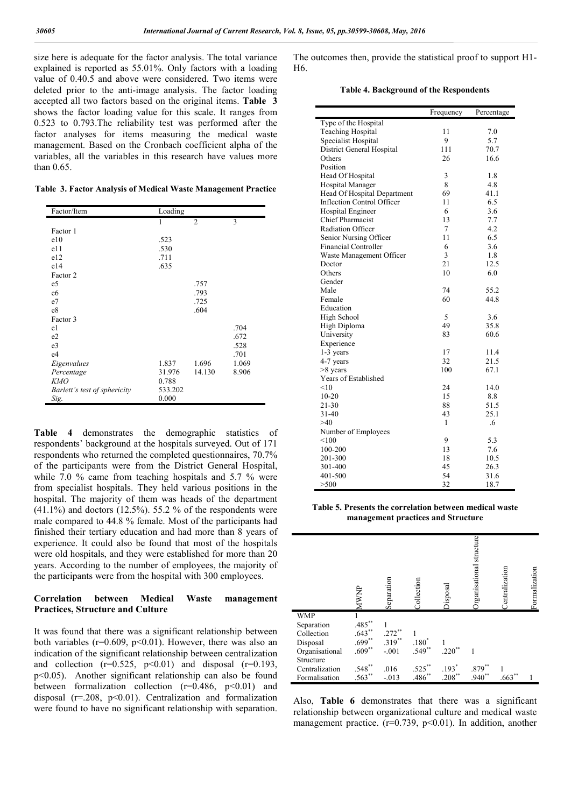size here is adequate for the factor analysis. The total variance explained is reported as 55.01%. Only factors with a loading value of 0.40.5 and above were considered. Two items were deleted prior to the anti-image analysis. The factor loading accepted all two factors based on the original items. **Table 3** shows the factor loading value for this scale. It ranges from 0.523 to 0.793.The reliability test was performed after the factor analyses for items measuring the medical waste management. Based on the Cronbach coefficient alpha of the variables, all the variables in this research have values more than 0.65.

**Table 3. Factor Analysis of Medical Waste Management Practice**

| Factor/Item                  | Loading      |                |       |
|------------------------------|--------------|----------------|-------|
|                              | $\mathbf{1}$ | $\overline{2}$ | 3     |
| Factor 1                     |              |                |       |
| e10                          | .523         |                |       |
| e11                          | .530         |                |       |
| e12                          | .711         |                |       |
| e14                          | .635         |                |       |
| Factor 2                     |              |                |       |
| e5                           |              | .757           |       |
| e6                           |              | .793           |       |
| e <sub>7</sub>               |              | .725           |       |
| e8                           |              | .604           |       |
| Factor 3                     |              |                |       |
| e1                           |              |                | .704  |
| e2                           |              |                | .672  |
| e <sub>3</sub>               |              |                | .528  |
| e <sub>4</sub>               |              |                | .701  |
| Eigenvalues                  | 1.837        | 1.696          | 1.069 |
| Percentage                   | 31.976       | 14.130         | 8.906 |
| <b>KMO</b>                   | 0.788        |                |       |
| Barlett's test of sphericity | 533.202      |                |       |
| Sig.                         | 0.000        |                |       |

**Table 4** demonstrates the demographic statistics of respondents' background at the hospitals surveyed. Out of 171 respondents who returned the completed questionnaires, 70.7% of the participants were from the District General Hospital, while 7.0 % came from teaching hospitals and 5.7 % were from specialist hospitals. They held various positions in the hospital. The majority of them was heads of the department  $(41.1\%)$  and doctors  $(12.5\%)$ . 55.2 % of the respondents were male compared to 44.8 % female. Most of the participants had finished their tertiary education and had more than 8 years of experience. It could also be found that most of the hospitals were old hospitals, and they were established for more than 20 years. According to the number of employees, the majority of the participants were from the hospital with 300 employees.

# **Correlation between Medical Waste management Practices, Structure and Culture**

It was found that there was a significant relationship between both variables ( $r=0.609$ ,  $p<0.01$ ). However, there was also an indication of the significant relationship between centralization and collection  $(r=0.525, p<0.01)$  and disposal  $(r=0.193, p<0.01)$ p<0.05). Another significant relationship can also be found between formalization collection  $(r=0.486, p<0.01)$  and disposal ( $r=208$ ,  $p<0.01$ ). Centralization and formalization were found to have no significant relationship with separation.

The outcomes then, provide the statistical proof to support H1- H6.

**Table 4. Background of the Respondents**

|                                   | Frequency    | Percentage |
|-----------------------------------|--------------|------------|
| Type of the Hospital              |              |            |
| <b>Teaching Hospital</b>          | 11           | 7.0        |
| Specialist Hospital               | 9            | 5.7        |
| District General Hospital         | 111          | 70.7       |
| Others                            | 26           | 16.6       |
| Position                          |              |            |
| Head Of Hospital                  | 3            | 1.8        |
| Hospital Manager                  | 8            | 4.8        |
| Head Of Hospital Department       | 69           | 41.1       |
| <b>Inflection Control Officer</b> | 11           | 6.5        |
| Hospital Engineer                 | 6            | 3.6        |
| Chief Pharmacist                  | 13           | 7.7        |
| Radiation Officer                 | 7            | 4.2        |
| Senior Nursing Officer            | 11           | 6.5        |
| <b>Financial Controller</b>       | 6            | 3.6        |
| Waste Management Officer          | 3            | 1.8        |
| Doctor                            | 21           | 12.5       |
| Others                            | 10           | 6.0        |
| Gender                            |              |            |
| Male                              | 74           | 55.2       |
| Female                            | 60           | 44.8       |
| Education                         |              |            |
| High School                       | 5            | 3.6        |
| High Diploma                      | 49           | 35.8       |
| University                        | 83           | 60.6       |
| Experience                        |              |            |
| $1-3$ years                       | 17           | 11.4       |
| 4-7 years                         | 32           | 21.5       |
| >8 years                          | 100          | 67.1       |
| Years of Established              |              |            |
| < 10                              | 24           | 14.0       |
| $10 - 20$                         | 15           | 8.8        |
| 21-30                             | 88           | 51.5       |
| $31 - 40$                         | 43           | 25.1       |
| >40                               | $\mathbf{1}$ | .6         |
| Number of Employees               |              |            |
| < 100                             | 9            | 5.3        |
| 100-200                           | 13           | 7.6        |
| 201-300                           | 18           | 10.5       |
| 301-400                           | 45           | 26.3       |
| 401-500                           | 54           | 31.6       |
| >500                              | 32           | 18.7       |
|                                   |              |            |

**Table 5. Presents the correlation between medical waste management practices and Structure**

|                | <b>MWNP</b>                | Separation                 | Collection                 | Disposal | rganisational structure | Centralization | Formalization |
|----------------|----------------------------|----------------------------|----------------------------|----------|-------------------------|----------------|---------------|
| <b>WMP</b>     |                            |                            |                            |          |                         |                |               |
| Separation     | $.485***$                  |                            |                            |          |                         |                |               |
| Collection     | $.643**$                   | $.272^{**}$<br>$.319^{**}$ |                            |          |                         |                |               |
| Disposal       | $.699**$                   |                            | $.180*$                    |          |                         |                |               |
| Organisational | $.609**$                   | $-.001$                    | $.549**$                   | $.220**$ |                         |                |               |
| Structure      |                            |                            |                            |          |                         |                |               |
| Centralization |                            | .016                       |                            | $.193*$  | .879                    |                |               |
| Formalisation  | $.548^{**}$<br>$.563^{**}$ | $-.013$                    | $.525^{**}$<br>$.486^{**}$ | .208     | .940**                  | $.663**$       |               |

Also, **Table 6** demonstrates that there was a significant relationship between organizational culture and medical waste management practice.  $(r=0.739, p<0.01)$ . In addition, another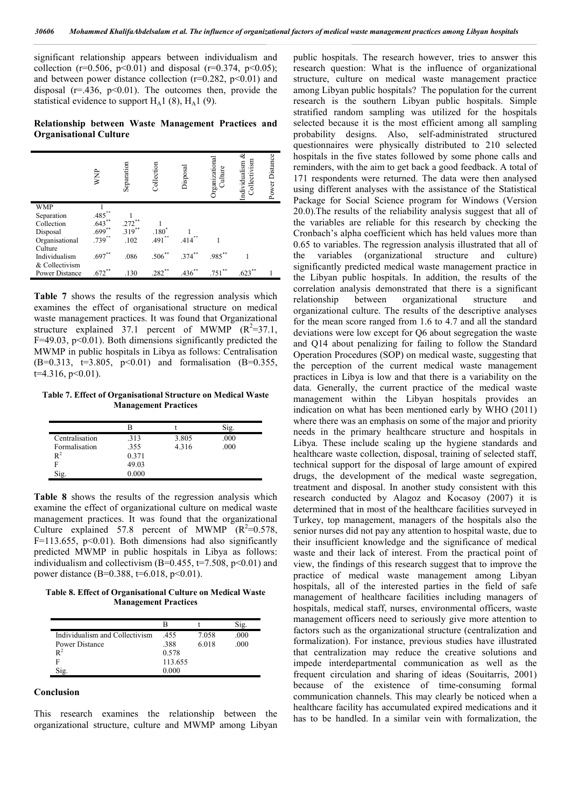significant relationship appears between individualism and collection (r=0.506, p<0.01) and disposal (r=0.374, p<0.05); and between power distance collection  $(r=0.282, p<0.01)$  and disposal ( $r=436$ ,  $p<0.01$ ). The outcomes then, provide the statistical evidence to support  $H_4$ 1 (8),  $H_4$ 1 (9).

**Relationship between Waste Management Practices and Organisational Culture**

|                       | <b>AND</b>                                | Separation | Collection   | Disposal  | <b>Drganizational</b><br>Culture | Individualism &<br>Collectivism | Power Distance |
|-----------------------|-------------------------------------------|------------|--------------|-----------|----------------------------------|---------------------------------|----------------|
| <b>WMP</b>            |                                           |            |              |           |                                  |                                 |                |
| Separation            | **<br>.485                                |            |              |           |                                  |                                 |                |
| Collection            | $***$                                     | **         |              |           |                                  |                                 |                |
| Disposal              |                                           | $.319**$   | .180         |           |                                  |                                 |                |
| Organisational        | $.643$<br>**<br>$.699$<br>**<br>$.739$ ** | .102       | , **<br>.491 | $.414***$ |                                  |                                 |                |
| Culture               |                                           |            |              |           |                                  |                                 |                |
| Individualism         | $.697**$                                  | .086       | **<br>.506   | $.374$ ** | .985                             |                                 |                |
| & Collectivism        |                                           |            |              |           |                                  |                                 |                |
| <b>Power Distance</b> | $.672$ **                                 | .130       | **<br>.282   | .436      | **<br>.751                       | .623                            |                |
|                       |                                           |            |              |           |                                  |                                 |                |

**Table 7** shows the results of the regression analysis which examines the effect of organisational structure on medical waste management practices. It was found that Organizational structure explained 37.1 percent of MWMP  $(R^2=37.1,$  $F=49.03$ ,  $p<0.01$ ). Both dimensions significantly predicted the MWMP in public hospitals in Libya as follows: Centralisation  $(B=0.313, t=3.805, p<0.01)$  and formalisation  $(B=0.355, t=3.805)$  $t=4.316$ ,  $p<0.01$ ).

**Table 7. Effect of Organisational Structure on Medical Waste Management Practices**

|                | B     |       |      |
|----------------|-------|-------|------|
| Centralisation | .313  | 3.805 | .000 |
| Formalisation  | .355  | 4.316 | .000 |
| $R^2$          | 0.371 |       |      |
| Е              | 49.03 |       |      |
| 51g            | 0.000 |       |      |

**Table 8** shows the results of the regression analysis which examine the effect of organizational culture on medical waste management practices. It was found that the organizational Culture explained 57.8 percent of MWMP  $(R^2=0.578,$ F=113.655,  $p<0.01$ ). Both dimensions had also significantly predicted MWMP in public hospitals in Libya as follows: individualism and collectivism  $(B=0.455, t=7.508, p<0.01)$  and power distance (B=0.388, t=6.018, p<0.01).

**Table 8. Effect of Organisational Culture on Medical Waste Management Practices**

|                                | в       |       | Sig. |
|--------------------------------|---------|-------|------|
| Individualism and Collectivism | .455    | 7.058 | .000 |
| Power Distance                 | .388    | 6.018 | .000 |
| $R^2$                          | 0.578   |       |      |
| F                              | 113.655 |       |      |
|                                | 0.000   |       |      |

### **Conclusion**

This research examines the relationship between the organizational structure, culture and MWMP among Libyan public hospitals. The research however, tries to answer this research question: What is the influence of organizational structure, culture on medical waste management practice among Libyan public hospitals? The population for the current research is the southern Libyan public hospitals. Simple stratified random sampling was utilized for the hospitals selected because it is the most efficient among all sampling probability designs. Also, self-administrated structured questionnaires were physically distributed to 210 selected hospitals in the five states followed by some phone calls and reminders, with the aim to get back a good feedback. A total of 171 respondents were returned. The data were then analysed using different analyses with the assistance of the Statistical Package for Social Science program for Windows (Version 20.0).The results of the reliability analysis suggest that all of the variables are reliable for this research by checking the Cronbach's alpha coefficient which has held values more than 0.65 to variables. The regression analysis illustrated that all of the variables (organizational structure and culture) significantly predicted medical waste management practice in the Libyan public hospitals. In addition, the results of the correlation analysis demonstrated that there is a significant relationship between organizational structure and organizational structure and organizational culture. The results of the descriptive analyses for the mean score ranged from 1.6 to 4.7 and all the standard deviations were low except for Q6 about segregation the waste and Q14 about penalizing for failing to follow the Standard Operation Procedures (SOP) on medical waste, suggesting that the perception of the current medical waste management practices in Libya is low and that there is a variability on the data. Generally, the current practice of the medical waste management within the Libyan hospitals provides an indication on what has been mentioned early by WHO (2011) where there was an emphasis on some of the major and priority needs in the primary healthcare structure and hospitals in Libya. These include scaling up the hygiene standards and healthcare waste collection, disposal, training of selected staff, technical support for the disposal of large amount of expired drugs, the development of the medical waste segregation, treatment and disposal. In another study consistent with this research conducted by Alagoz and Kocasoy (2007) it is determined that in most of the healthcare facilities surveyed in Turkey, top management, managers of the hospitals also the senior nurses did not pay any attention to hospital waste, due to their insufficient knowledge and the significance of medical waste and their lack of interest. From the practical point of view, the findings of this research suggest that to improve the practice of medical waste management among Libyan hospitals, all of the interested parties in the field of safe management of healthcare facilities including managers of hospitals, medical staff, nurses, environmental officers, waste management officers need to seriously give more attention to factors such as the organizational structure (centralization and formalization). For instance, previous studies have illustrated that centralization may reduce the creative solutions and impede interdepartmental communication as well as the frequent circulation and sharing of ideas (Souitarris, 2001) because of the existence of time-consuming formal communication channels. This may clearly be noticed when a healthcare facility has accumulated expired medications and it has to be handled. In a similar vein with formalization, the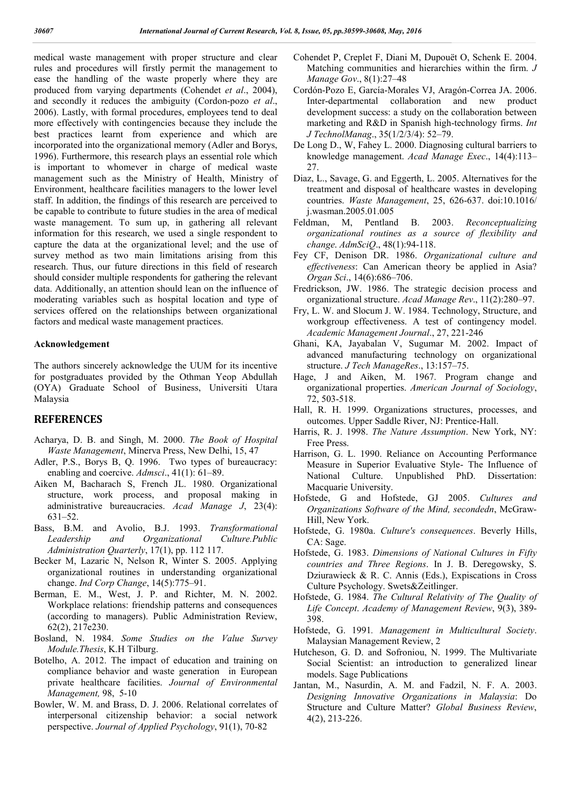medical waste management with proper structure and clear rules and procedures will firstly permit the management to ease the handling of the waste properly where they are produced from varying departments (Cohendet *et al*., 2004), and secondly it reduces the ambiguity (Cordon-pozo *et al*., 2006). Lastly, with formal procedures, employees tend to deal more effectively with contingencies because they include the best practices learnt from experience and which are incorporated into the organizational memory (Adler and Borys, 1996). Furthermore, this research plays an essential role which is important to whomever in charge of medical waste management such as the Ministry of Health, Ministry of Environment, healthcare facilities managers to the lower level staff. In addition, the findings of this research are perceived to be capable to contribute to future studies in the area of medical waste management. To sum up, in gathering all relevant information for this research, we used a single respondent to capture the data at the organizational level; and the use of survey method as two main limitations arising from this research. Thus, our future directions in this field of research should consider multiple respondents for gathering the relevant data. Additionally, an attention should lean on the influence of moderating variables such as hospital location and type of services offered on the relationships between organizational factors and medical waste management practices.

# **Acknowledgement**

The authors sincerely acknowledge the UUM for its incentive for postgraduates provided by the Othman Yeop Abdullah (OYA) Graduate School of Business, Universiti Utara Malaysia

# **REFERENCES**

- Acharya, D. B. and Singh, M. 2000. *The Book of Hospital Waste Management*, Minerva Press, New Delhi, 15, 47
- Adler, P.S., Borys B, Q. 1996. Two types of bureaucracy: enabling and coercive. *Admsci*., 41(1): 61–89.
- Aiken M, Bacharach S, French JL. 1980. Organizational structure, work process, and proposal making in administrative bureaucracies. *Acad Manage J*, 23(4): 631–52.
- Bass, B.M. and Avolio, B.J. 1993. *Transformational Leadership and Organizational Culture.Public Administration Quarterly*, 17(1), pp. 112 117.
- Becker M, Lazaric N, Nelson R, Winter S. 2005. Applying organizational routines in understanding organizational change. *Ind Corp Change*, 14(5):775–91.
- Berman, E. M., West, J. P. and Richter, M. N. 2002. Workplace relations: friendship patterns and consequences (according to managers). Public Administration Review, 62(2), 217e230.
- Bosland, N. 1984. *Some Studies on the Value Survey Module.Thesis*, K.H Tilburg.
- Botelho, A. 2012. The impact of education and training on compliance behavior and waste generation in European private healthcare facilities. *Journal of Environmental Management,* 98, 5-10
- Bowler, W. M. and Brass, D. J. 2006. Relational correlates of interpersonal citizenship behavior: a social network perspective. *Journal of Applied Psychology*, 91(1), 70-82
- Cohendet P, Creplet F, Diani M, Dupouët O, Schenk E. 2004. Matching communities and hierarchies within the firm. *J Manage Gov*., 8(1):27–48
- Cordón-Pozo E, García-Morales VJ, Aragón-Correa JA. 2006. Inter-departmental collaboration and new product development success: a study on the collaboration between marketing and R&D in Spanish high-technology firms. *Int J TechnolManag*., 35(1/2/3/4): 52–79.
- De Long D., W, Fahey L. 2000. Diagnosing cultural barriers to knowledge management. *Acad Manage Exec*., 14(4):113– 27.
- Diaz, L., Savage, G. and Eggerth, L. 2005. Alternatives for the treatment and disposal of healthcare wastes in developing countries. *Waste Management*, 25, 626-637. doi:10.1016/ j.wasman.2005.01.005
- Feldman, M, Pentland B. 2003. *Reconceptualizing organizational routines as a source of flexibility and change*. *AdmSciQ*., 48(1):94-118.
- Fey CF, Denison DR. 1986. *Organizational culture and effectiveness*: Can American theory be applied in Asia? *Organ Sci*., 14(6):686–706.
- Fredrickson, JW. 1986. The strategic decision process and organizational structure. *Acad Manage Rev*., 11(2):280–97.
- Fry, L. W. and Slocum J. W. 1984. Technology, Structure, and workgroup effectiveness. A test of contingency model. *Academic Management Journal*., 27, 221-246
- Ghani, KA, Jayabalan V, Sugumar M. 2002. Impact of advanced manufacturing technology on organizational structure. *J Tech ManageRes*., 13:157–75.
- Hage, J and Aiken, M. 1967. Program change and organizational properties. *American Journal of Sociology*, 72, 503-518.
- Hall, R. H. 1999. Organizations structures, processes, and outcomes. Upper Saddle River, NJ: Prentice-Hall.
- Harris, R. J. 1998. *The Nature Assumption*. New York, NY: Free Press.
- Harrison, G. L. 1990. Reliance on Accounting Performance Measure in Superior Evaluative Style- The Influence of National Culture. Unpublished PhD. Dissertation: Macquarie University.
- Hofstede, G and Hofstede, GJ 2005. *Cultures and Organizations Software of the Mind, secondedn*, McGraw-Hill, New York.
- Hofstede, G. 1980a. *Culture's consequences*. Beverly Hills, CA: Sage.
- Hofstede, G. 1983. *Dimensions of National Cultures in Fifty countries and Three Regions*. In J. B. Deregowsky, S. Dziurawieck & R. C. Annis (Eds.), Expiscations in Cross Culture Psychology. Swets&Zeitlinger.
- Hofstede, G. 1984. *The Cultural Relativity of The Quality of Life Concept*. *Academy of Management Review*, 9(3), 389- 398.
- Hofstede, G. 1991*. Management in Multicultural Society*. Malaysian Management Review, 2
- Hutcheson, G. D. and Sofroniou, N. 1999. The Multivariate Social Scientist: an introduction to generalized linear models. Sage Publications
- Jantan, M., Nasurdin, A. M. and Fadzil, N. F. A. 2003. *Designing Innovative Organizations in Malaysia*: Do Structure and Culture Matter? *Global Business Review*, 4(2), 213-226.